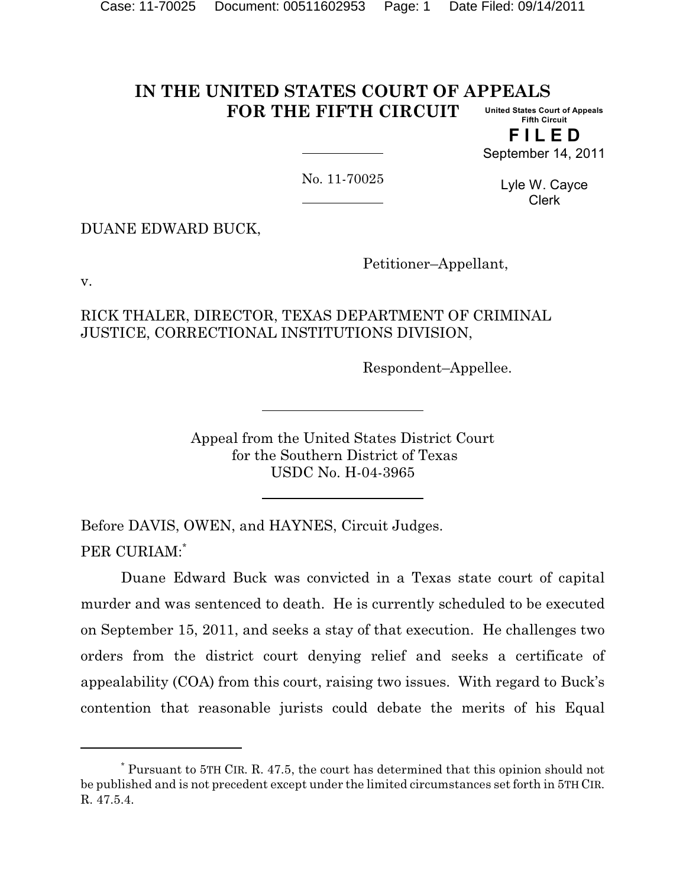#### **IN THE UNITED STATES COURT OF APPEALS FOR THE FIFTH CIRCUIT United States Court of Appeals Fifth Circuit**

**F I L E D** September 14, 2011

No. 11-70025

Lyle W. Cayce Clerk

DUANE EDWARD BUCK,

Petitioner–Appellant,

v.

RICK THALER, DIRECTOR, TEXAS DEPARTMENT OF CRIMINAL JUSTICE, CORRECTIONAL INSTITUTIONS DIVISION,

Respondent–Appellee.

Appeal from the United States District Court for the Southern District of Texas USDC No. H-04-3965

Before DAVIS, OWEN, and HAYNES, Circuit Judges. PER CURIAM:\*

Duane Edward Buck was convicted in a Texas state court of capital murder and was sentenced to death. He is currently scheduled to be executed on September 15, 2011, and seeks a stay of that execution. He challenges two orders from the district court denying relief and seeks a certificate of appealability (COA) from this court, raising two issues. With regard to Buck's contention that reasonable jurists could debate the merits of his Equal

Pursuant to 5TH CIR. R. 47.5, the court has determined that this opinion should not \* be published and is not precedent except under the limited circumstances set forth in 5TH CIR. R. 47.5.4.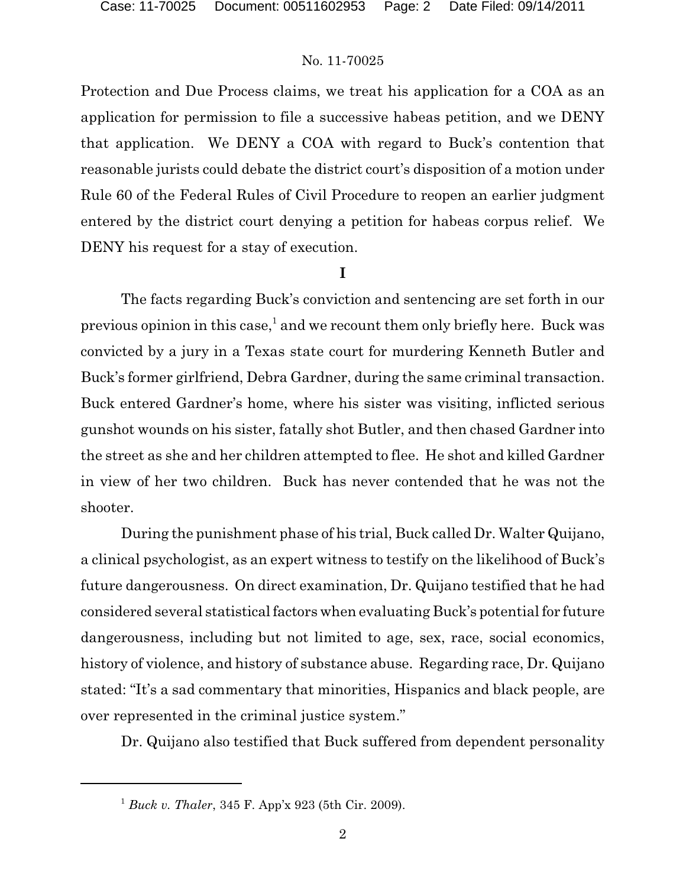Protection and Due Process claims, we treat his application for a COA as an application for permission to file a successive habeas petition, and we DENY that application. We DENY a COA with regard to Buck's contention that reasonable jurists could debate the district court's disposition of a motion under Rule 60 of the Federal Rules of Civil Procedure to reopen an earlier judgment entered by the district court denying a petition for habeas corpus relief. We DENY his request for a stay of execution.

**I**

The facts regarding Buck's conviction and sentencing are set forth in our previous opinion in this case, $^1$  and we recount them only briefly here. Buck was convicted by a jury in a Texas state court for murdering Kenneth Butler and Buck's former girlfriend, Debra Gardner, during the same criminal transaction. Buck entered Gardner's home, where his sister was visiting, inflicted serious gunshot wounds on his sister, fatally shot Butler, and then chased Gardner into the street as she and her children attempted to flee. He shot and killed Gardner in view of her two children. Buck has never contended that he was not the shooter.

During the punishment phase of his trial, Buck called Dr. Walter Quijano, a clinical psychologist, as an expert witness to testify on the likelihood of Buck's future dangerousness. On direct examination, Dr. Quijano testified that he had considered several statisticalfactors when evaluating Buck's potential for future dangerousness, including but not limited to age, sex, race, social economics, history of violence, and history of substance abuse. Regarding race, Dr. Quijano stated: "It's a sad commentary that minorities, Hispanics and black people, are over represented in the criminal justice system."

Dr. Quijano also testified that Buck suffered from dependent personality

<sup>&</sup>lt;sup>1</sup> Buck v. Thaler, 345 F. App'x 923 (5th Cir. 2009).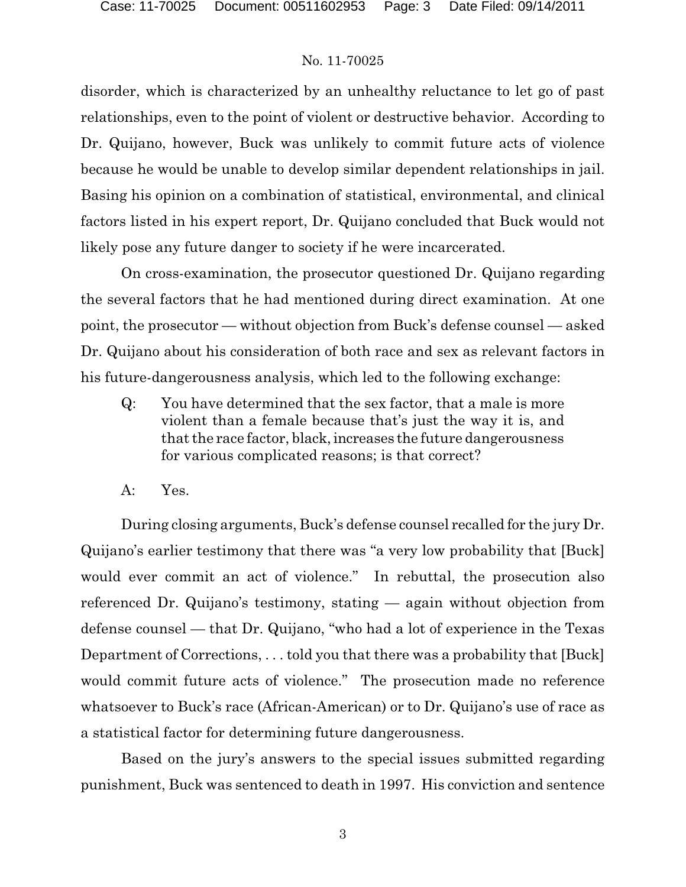disorder, which is characterized by an unhealthy reluctance to let go of past relationships, even to the point of violent or destructive behavior. According to Dr. Quijano, however, Buck was unlikely to commit future acts of violence because he would be unable to develop similar dependent relationships in jail. Basing his opinion on a combination of statistical, environmental, and clinical factors listed in his expert report, Dr. Quijano concluded that Buck would not likely pose any future danger to society if he were incarcerated.

On cross-examination, the prosecutor questioned Dr. Quijano regarding the several factors that he had mentioned during direct examination. At one point, the prosecutor — without objection from Buck's defense counsel — asked Dr. Quijano about his consideration of both race and sex as relevant factors in his future-dangerousness analysis, which led to the following exchange:

- Q: You have determined that the sex factor, that a male is more violent than a female because that's just the way it is, and that the race factor, black, increases the future dangerousness for various complicated reasons; is that correct?
- A: Yes.

During closing arguments, Buck's defense counsel recalled for the jury Dr. Quijano's earlier testimony that there was "a very low probability that [Buck] would ever commit an act of violence." In rebuttal, the prosecution also referenced Dr. Quijano's testimony, stating — again without objection from defense counsel — that Dr. Quijano, "who had a lot of experience in the Texas Department of Corrections, . . . told you that there was a probability that [Buck] would commit future acts of violence." The prosecution made no reference whatsoever to Buck's race (African-American) or to Dr. Quijano's use of race as a statistical factor for determining future dangerousness.

Based on the jury's answers to the special issues submitted regarding punishment, Buck was sentenced to death in 1997. His conviction and sentence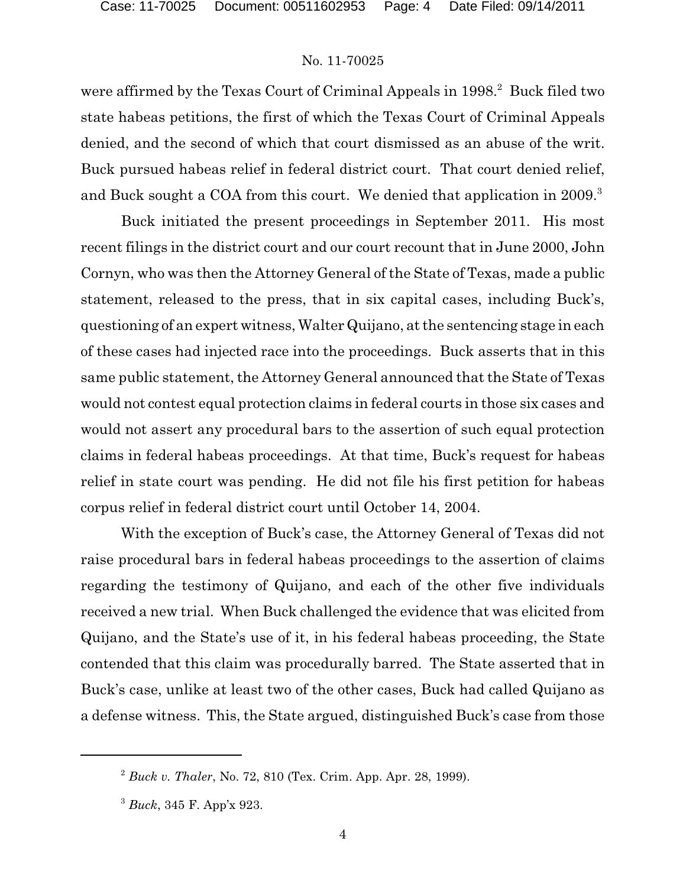were affirmed by the Texas Court of Criminal Appeals in 1998.<sup>2</sup> Buck filed two state habeas petitions, the first of which the Texas Court of Criminal Appeals denied, and the second of which that court dismissed as an abuse of the writ. Buck pursued habeas relief in federal district court. That court denied relief, and Buck sought a COA from this court. We denied that application in 2009.<sup>3</sup>

Buck initiated the present proceedings in September 2011. His most recent filings in the district court and our court recount that in June 2000, John Cornyn, who was then the Attorney General of the State of Texas, made a public statement, released to the press, that in six capital cases, including Buck's, questioning of an expert witness, Walter Quijano, at the sentencing stage in each of these cases had injected race into the proceedings. Buck asserts that in this same public statement, the Attorney General announced that the State of Texas would not contest equal protection claims in federal courts in those six cases and would not assert any procedural bars to the assertion of such equal protection claims in federal habeas proceedings. At that time, Buck's request for habeas relief in state court was pending. He did not file his first petition for habeas corpus relief in federal district court until October 14, 2004.

With the exception of Buck's case, the Attorney General of Texas did not raise procedural bars in federal habeas proceedings to the assertion of claims regarding the testimony of Quijano, and each of the other five individuals received a new trial. When Buck challenged the evidence that was elicited from Quijano, and the State's use of it, in his federal habeas proceeding, the State contended that this claim was procedurally barred. The State asserted that in Buck's case, unlike at least two of the other cases, Buck had called Quijano as a defense witness. This, the State argued, distinguished Buck's case from those

<sup>&</sup>lt;sup>2</sup> Buck v. Thaler, No. 72, 810 (Tex. Crim. App. Apr. 28, 1999).

<sup>&</sup>lt;sup>3</sup> Buck, 345 F. App'x 923.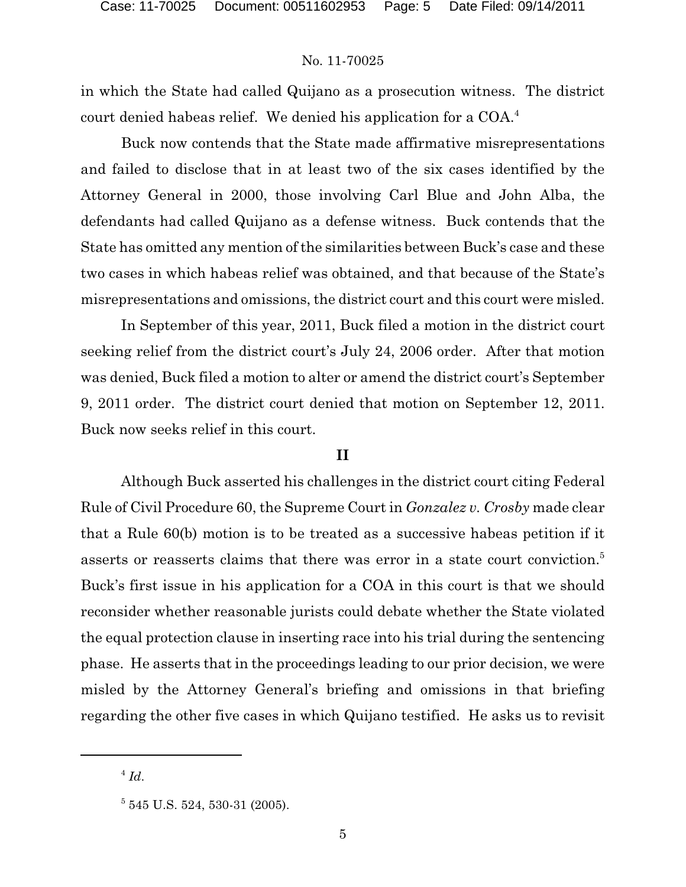in which the State had called Quijano as a prosecution witness. The district court denied habeas relief. We denied his application for a COA.<sup>4</sup>

Buck now contends that the State made affirmative misrepresentations and failed to disclose that in at least two of the six cases identified by the Attorney General in 2000, those involving Carl Blue and John Alba, the defendants had called Quijano as a defense witness. Buck contends that the State has omitted any mention of the similarities between Buck's case and these two cases in which habeas relief was obtained, and that because of the State's misrepresentations and omissions, the district court and this court were misled.

In September of this year, 2011, Buck filed a motion in the district court seeking relief from the district court's July 24, 2006 order. After that motion was denied, Buck filed a motion to alter or amend the district court's September 9, 2011 order. The district court denied that motion on September 12, 2011. Buck now seeks relief in this court.

### **II**

Although Buck asserted his challenges in the district court citing Federal Rule of Civil Procedure 60, the Supreme Court in *Gonzalez v. Crosby* made clear that a Rule 60(b) motion is to be treated as a successive habeas petition if it asserts or reasserts claims that there was error in a state court conviction.<sup>5</sup> Buck's first issue in his application for a COA in this court is that we should reconsider whether reasonable jurists could debate whether the State violated the equal protection clause in inserting race into his trial during the sentencing phase. He asserts that in the proceedings leading to our prior decision, we were misled by the Attorney General's briefing and omissions in that briefing regarding the other five cases in which Quijano testified. He asks us to revisit

 $^{4}$  *Id.* 

 $545$  U.S. 524, 530-31 (2005).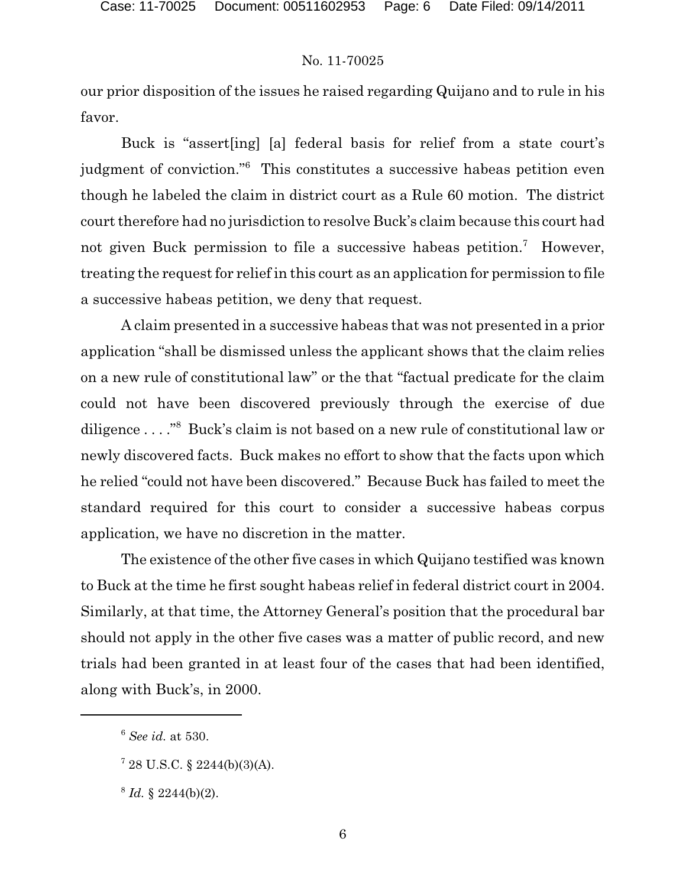our prior disposition of the issues he raised regarding Quijano and to rule in his favor.

Buck is "assert[ing] [a] federal basis for relief from a state court's judgment of conviction."<sup>6</sup> This constitutes a successive habeas petition even though he labeled the claim in district court as a Rule 60 motion. The district court therefore had no jurisdiction to resolve Buck's claim because this court had not given Buck permission to file a successive habeas petition.<sup>7</sup> However, treating the request for relief in this court as an application for permission to file a successive habeas petition, we deny that request.

A claim presented in a successive habeas that was not presented in a prior application "shall be dismissed unless the applicant shows that the claim relies on a new rule of constitutional law" or the that "factual predicate for the claim could not have been discovered previously through the exercise of due diligence  $\dots$ ." Buck's claim is not based on a new rule of constitutional law or newly discovered facts. Buck makes no effort to show that the facts upon which he relied "could not have been discovered." Because Buck has failed to meet the standard required for this court to consider a successive habeas corpus application, we have no discretion in the matter.

The existence of the other five cases in which Quijano testified was known to Buck at the time he first sought habeas relief in federal district court in 2004. Similarly, at that time, the Attorney General's position that the procedural bar should not apply in the other five cases was a matter of public record, and new trials had been granted in at least four of the cases that had been identified, along with Buck's, in 2000.

*See id.* at 530. 6

 $728$  U.S.C. § 2244(b)(3)(A).

 ${}^{8}$  *Id.* § 2244(b)(2).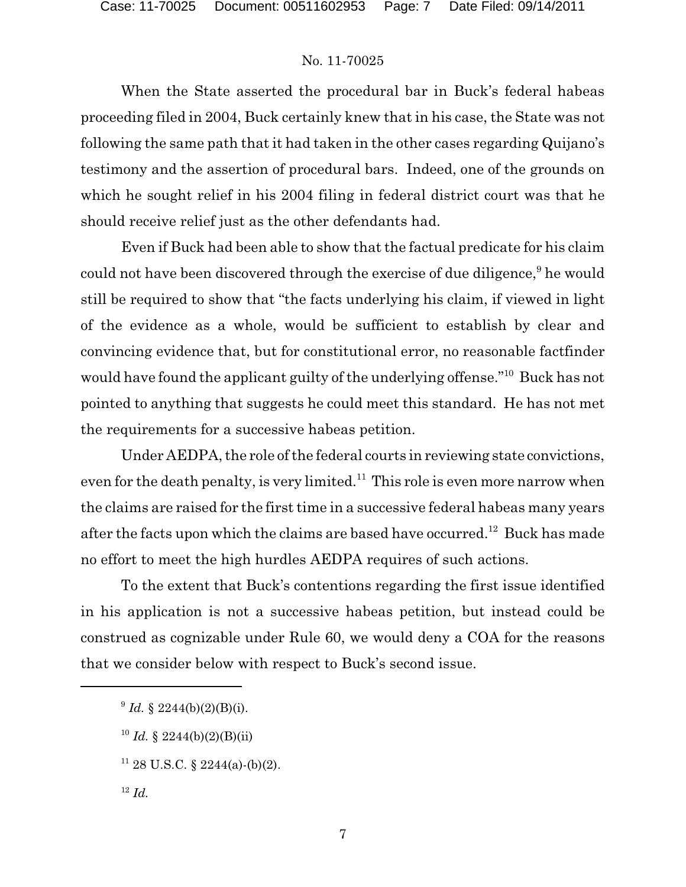When the State asserted the procedural bar in Buck's federal habeas proceeding filed in 2004, Buck certainly knew that in his case, the State was not following the same path that it had taken in the other cases regarding Quijano's testimony and the assertion of procedural bars. Indeed, one of the grounds on which he sought relief in his 2004 filing in federal district court was that he should receive relief just as the other defendants had.

Even if Buck had been able to show that the factual predicate for his claim could not have been discovered through the exercise of due diligence,  $9$  he would still be required to show that "the facts underlying his claim, if viewed in light of the evidence as a whole, would be sufficient to establish by clear and convincing evidence that, but for constitutional error, no reasonable factfinder would have found the applicant guilty of the underlying offense."<sup>10</sup> Buck has not pointed to anything that suggests he could meet this standard. He has not met the requirements for a successive habeas petition.

Under AEDPA, the role of the federal courts in reviewing state convictions, even for the death penalty, is very limited.<sup>11</sup> This role is even more narrow when the claims are raised for the first time in a successive federal habeas many years after the facts upon which the claims are based have occurred.<sup>12</sup> Buck has made no effort to meet the high hurdles AEDPA requires of such actions.

To the extent that Buck's contentions regarding the first issue identified in his application is not a successive habeas petition, but instead could be construed as cognizable under Rule 60, we would deny a COA for the reasons that we consider below with respect to Buck's second issue.

- <sup>10</sup> *Id.* § 2244(b)(2)(B)(ii)
- $11$  28 U.S.C. § 2244(a)-(b)(2).
- $^{12}$  *Id.*

 $^{9}$  *Id.* § 2244(b)(2)(B)(i).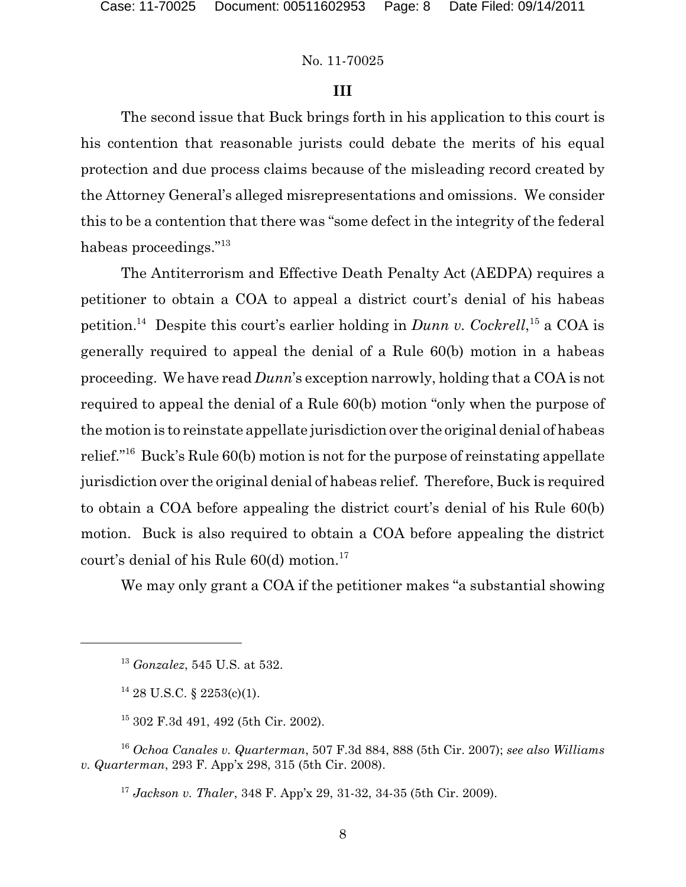### **III**

The second issue that Buck brings forth in his application to this court is his contention that reasonable jurists could debate the merits of his equal protection and due process claims because of the misleading record created by the Attorney General's alleged misrepresentations and omissions. We consider this to be a contention that there was "some defect in the integrity of the federal habeas proceedings."<sup>13</sup>

The Antiterrorism and Effective Death Penalty Act (AEDPA) requires a petitioner to obtain a COA to appeal a district court's denial of his habeas petition.<sup>14</sup> Despite this court's earlier holding in *Dunn v. Cockrell*, <sup>15</sup> a COA is generally required to appeal the denial of a Rule 60(b) motion in a habeas proceeding. We have read *Dunn*'s exception narrowly, holding that a COA is not required to appeal the denial of a Rule 60(b) motion "only when the purpose of the motion is to reinstate appellate jurisdiction over the original denial of habeas relief."<sup>16</sup> Buck's Rule  $60(b)$  motion is not for the purpose of reinstating appellate jurisdiction over the original denial of habeas relief. Therefore, Buck is required to obtain a COA before appealing the district court's denial of his Rule 60(b) motion. Buck is also required to obtain a COA before appealing the district court's denial of his Rule  $60(d)$  motion.<sup>17</sup>

We may only grant a COA if the petitioner makes "a substantial showing

 $14$  28 U.S.C. § 2253(c)(1).

<sup>15</sup> 302 F.3d 491, 492 (5th Cir. 2002).

*Ochoa Canales v. Quarterman*, 507 F.3d 884, 888 (5th Cir. 2007); *see also Williams* 16 *v. Quarterman*, 293 F. App'x 298, 315 (5th Cir. 2008).

<sup>17</sup> Jackson v. Thaler, 348 F. App'x 29, 31-32, 34-35 (5th Cir. 2009).

<sup>&</sup>lt;sup>13</sup> Gonzalez, 545 U.S. at 532.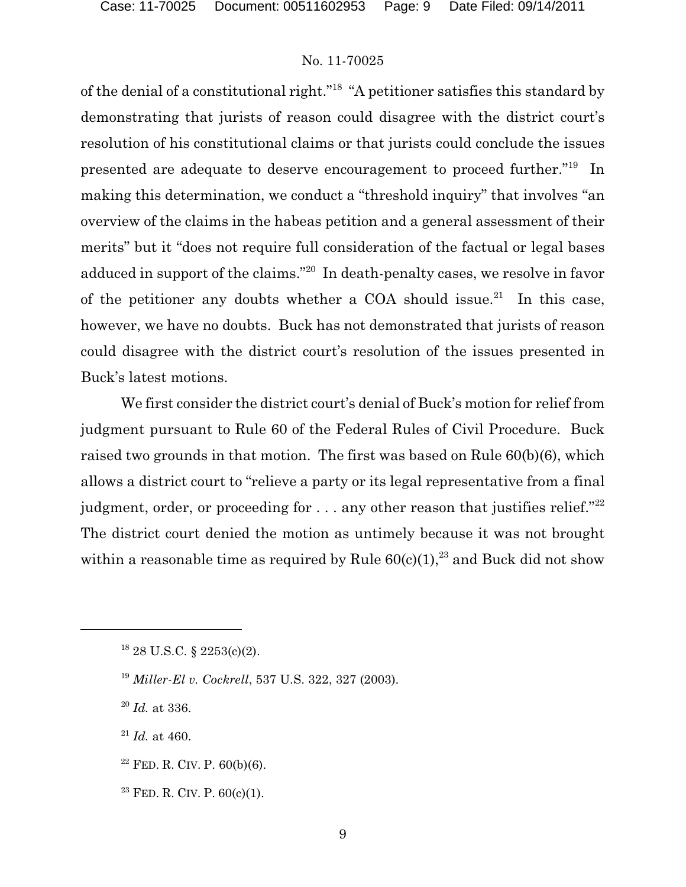of the denial of a constitutional right."<sup>18</sup> "A petitioner satisfies this standard by demonstrating that jurists of reason could disagree with the district court's resolution of his constitutional claims or that jurists could conclude the issues presented are adequate to deserve encouragement to proceed further."<sup>19</sup> In making this determination, we conduct a "threshold inquiry" that involves "an overview of the claims in the habeas petition and a general assessment of their merits" but it "does not require full consideration of the factual or legal bases adduced in support of the claims."<sup>20</sup> In death-penalty cases, we resolve in favor of the petitioner any doubts whether a COA should issue.<sup>21</sup> In this case, however, we have no doubts. Buck has not demonstrated that jurists of reason could disagree with the district court's resolution of the issues presented in Buck's latest motions.

We first consider the district court's denial of Buck's motion for relief from judgment pursuant to Rule 60 of the Federal Rules of Civil Procedure. Buck raised two grounds in that motion. The first was based on Rule 60(b)(6), which allows a district court to "relieve a party or its legal representative from a final judgment, order, or proceeding for . . . any other reason that justifies relief."<sup>22</sup> The district court denied the motion as untimely because it was not brought within a reasonable time as required by Rule  $60(c)(1)$ ,  $23$  and Buck did not show

<sup>20</sup> *Id.* at 336.

 $^{21}$  *Id.* at 460.

- $22$  FED. R. CIV. P. 60(b)(6).
- $23$  FED. R. CIV. P.  $60(c)(1)$ .

 $18$  28 U.S.C. § 2253(c)(2).

<sup>&</sup>lt;sup>19</sup> Miller-El v. Cockrell, 537 U.S. 322, 327 (2003).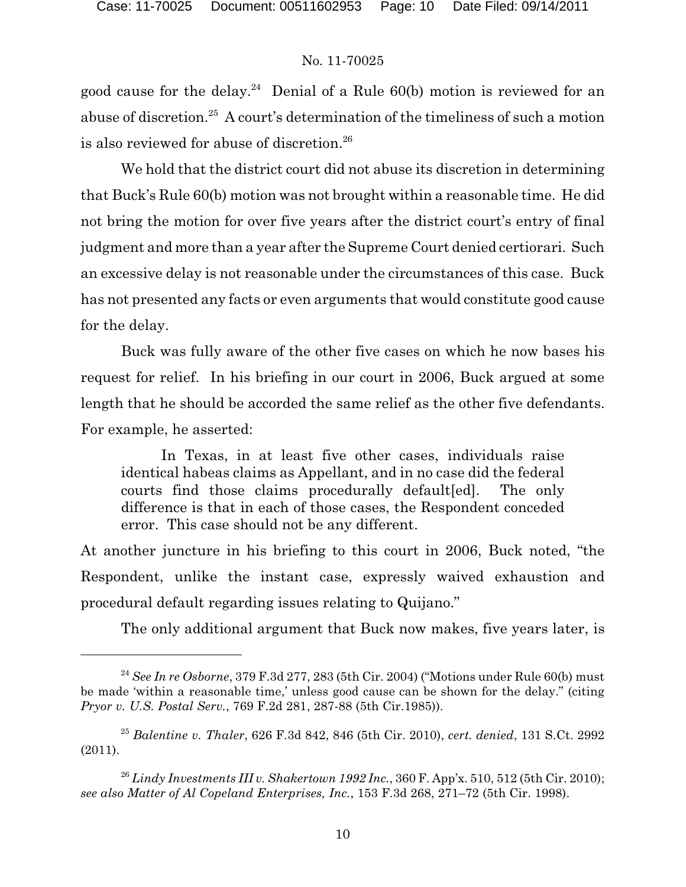good cause for the delay.<sup>24</sup> Denial of a Rule 60(b) motion is reviewed for an abuse of discretion.<sup>25</sup> A court's determination of the timeliness of such a motion is also reviewed for abuse of discretion. 26

We hold that the district court did not abuse its discretion in determining that Buck's Rule 60(b) motion was not brought within a reasonable time. He did not bring the motion for over five years after the district court's entry of final judgment and more than a year after the Supreme Court denied certiorari. Such an excessive delay is not reasonable under the circumstances of this case. Buck has not presented any facts or even arguments that would constitute good cause for the delay.

Buck was fully aware of the other five cases on which he now bases his request for relief. In his briefing in our court in 2006, Buck argued at some length that he should be accorded the same relief as the other five defendants. For example, he asserted:

In Texas, in at least five other cases, individuals raise identical habeas claims as Appellant, and in no case did the federal courts find those claims procedurally default[ed]. The only difference is that in each of those cases, the Respondent conceded error. This case should not be any different.

At another juncture in his briefing to this court in 2006, Buck noted, "the Respondent, unlike the instant case, expressly waived exhaustion and procedural default regarding issues relating to Quijano."

The only additional argument that Buck now makes, five years later, is

<sup>&</sup>lt;sup>24</sup> See In re Osborne, 379 F.3d 277, 283 (5th Cir. 2004) ("Motions under Rule 60(b) must be made 'within a reasonable time,' unless good cause can be shown for the delay." (citing *Pryor v. U.S. Postal Serv.*, 769 F.2d 281, 287-88 (5th Cir.1985)).

*Balentine v. Thaler*, 626 F.3d 842, 846 (5th Cir. 2010), *cert. denied*, 131 S.Ct. 2992 <sup>25</sup> (2011).

<sup>&</sup>lt;sup>26</sup> Lindy Investments III v. Shakertown 1992 Inc., 360 F. App'x. 510, 512 (5th Cir. 2010); *see also Matter of Al Copeland Enterprises, Inc.*, 153 F.3d 268, 271–72 (5th Cir. 1998).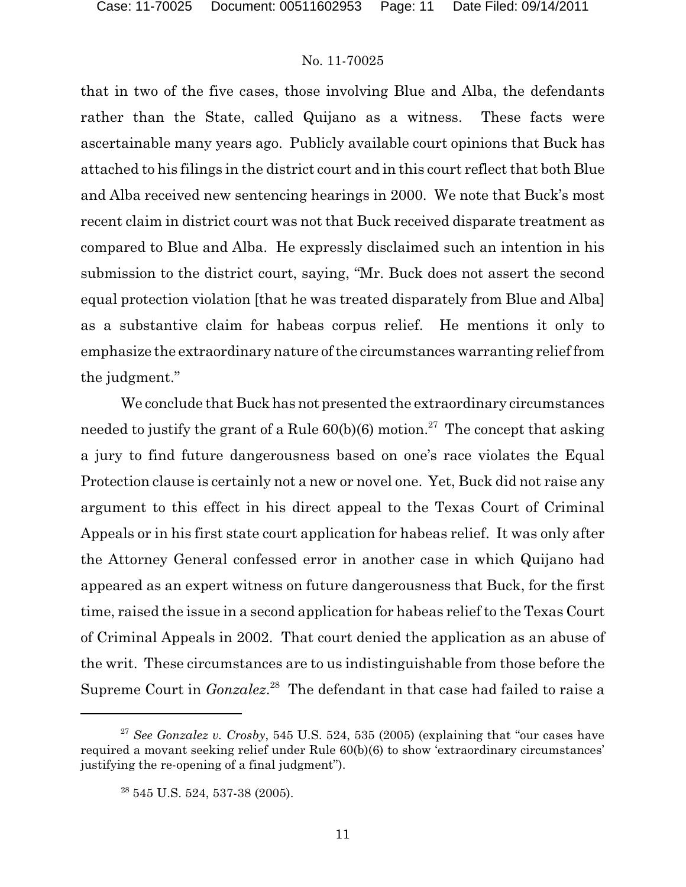that in two of the five cases, those involving Blue and Alba, the defendants rather than the State, called Quijano as a witness. These facts were ascertainable many years ago. Publicly available court opinions that Buck has attached to his filings in the district court and in this court reflect that both Blue and Alba received new sentencing hearings in 2000. We note that Buck's most recent claim in district court was not that Buck received disparate treatment as compared to Blue and Alba. He expressly disclaimed such an intention in his submission to the district court, saying, "Mr. Buck does not assert the second equal protection violation [that he was treated disparately from Blue and Alba] as a substantive claim for habeas corpus relief. He mentions it only to emphasize the extraordinary nature of the circumstances warranting relief from the judgment."

We conclude that Buck has not presented the extraordinary circumstances needed to justify the grant of a Rule  $60(b)(6)$  motion.<sup>27</sup> The concept that asking a jury to find future dangerousness based on one's race violates the Equal Protection clause is certainly not a new or novel one. Yet, Buck did not raise any argument to this effect in his direct appeal to the Texas Court of Criminal Appeals or in his first state court application for habeas relief. It was only after the Attorney General confessed error in another case in which Quijano had appeared as an expert witness on future dangerousness that Buck, for the first time, raised the issue in a second application for habeas relief to the Texas Court of Criminal Appeals in 2002. That court denied the application as an abuse of the writ. These circumstances are to us indistinguishable from those before the Supreme Court in *Gonzalez*<sup>28</sup> The defendant in that case had failed to raise a

<sup>&</sup>lt;sup>27</sup> *See Gonzalez v. Crosby*, 545 U.S. 524, 535 (2005) (explaining that "our cases have required a movant seeking relief under Rule 60(b)(6) to show 'extraordinary circumstances' justifying the re-opening of a final judgment").

 $28545$  U.S. 524, 537-38 (2005).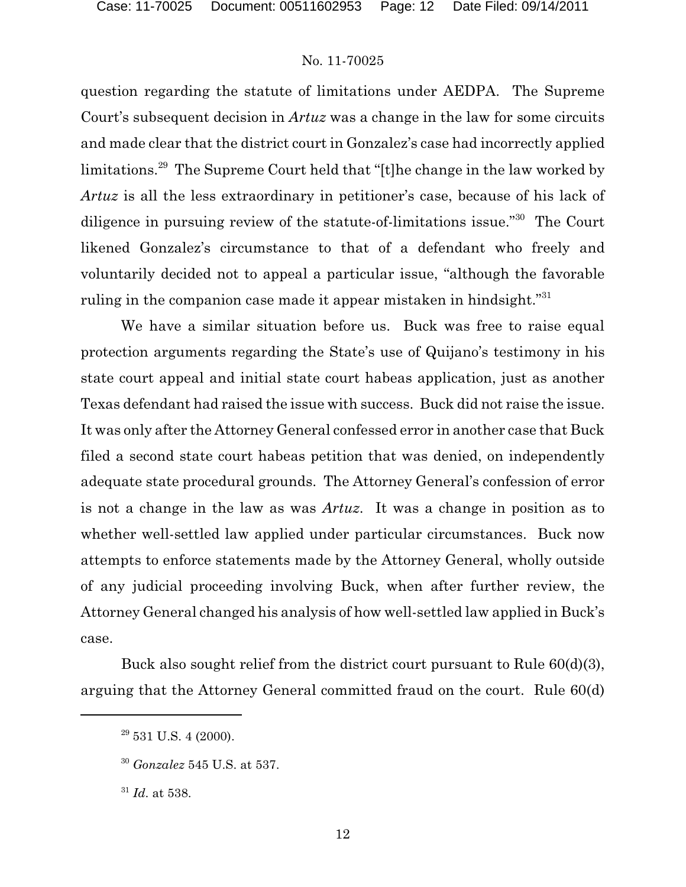question regarding the statute of limitations under AEDPA. The Supreme Court's subsequent decision in *Artuz* was a change in the law for some circuits and made clear that the district court in Gonzalez's case had incorrectly applied limitations.<sup>29</sup> The Supreme Court held that "[t]he change in the law worked by *Artuz* is all the less extraordinary in petitioner's case, because of his lack of diligence in pursuing review of the statute-of-limitations issue." The Court likened Gonzalez's circumstance to that of a defendant who freely and voluntarily decided not to appeal a particular issue, "although the favorable ruling in the companion case made it appear mistaken in hindsight."<sup>31</sup>

We have a similar situation before us. Buck was free to raise equal protection arguments regarding the State's use of Quijano's testimony in his state court appeal and initial state court habeas application, just as another Texas defendant had raised the issue with success. Buck did not raise the issue. It was only after the Attorney General confessed error in another case that Buck filed a second state court habeas petition that was denied, on independently adequate state procedural grounds. The Attorney General's confession of error is not a change in the law as was *Artuz*. It was a change in position as to whether well-settled law applied under particular circumstances. Buck now attempts to enforce statements made by the Attorney General, wholly outside of any judicial proceeding involving Buck, when after further review, the Attorney General changed his analysis of how well-settled law applied in Buck's case.

Buck also sought relief from the district court pursuant to Rule 60(d)(3), arguing that the Attorney General committed fraud on the court. Rule 60(d)

 $29$  531 U.S. 4 (2000).

*Gonzalez* 545 U.S. at 537. 30

 $^{31}$  *Id.* at 538.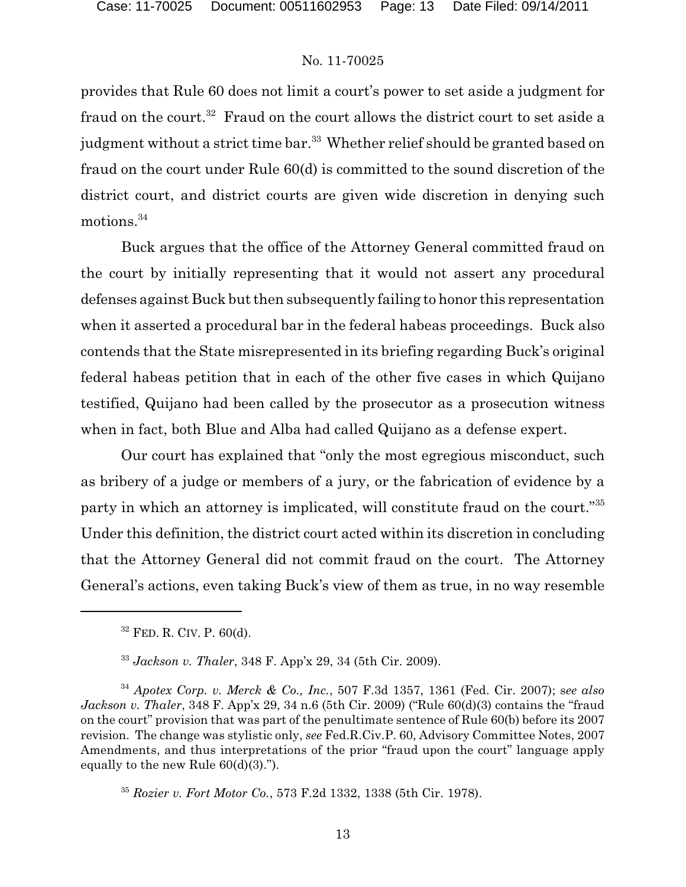provides that Rule 60 does not limit a court's power to set aside a judgment for fraud on the court. $32$  Fraud on the court allows the district court to set aside a judgment without a strict time bar.<sup>33</sup> Whether relief should be granted based on fraud on the court under Rule 60(d) is committed to the sound discretion of the district court, and district courts are given wide discretion in denying such motions.<sup>34</sup>

Buck argues that the office of the Attorney General committed fraud on the court by initially representing that it would not assert any procedural defenses against Buck but then subsequently failing to honor this representation when it asserted a procedural bar in the federal habeas proceedings. Buck also contends that the State misrepresented in its briefing regarding Buck's original federal habeas petition that in each of the other five cases in which Quijano testified, Quijano had been called by the prosecutor as a prosecution witness when in fact, both Blue and Alba had called Quijano as a defense expert.

Our court has explained that "only the most egregious misconduct, such as bribery of a judge or members of a jury, or the fabrication of evidence by a party in which an attorney is implicated, will constitute fraud on the court."<sup>35</sup> Under this definition, the district court acted within its discretion in concluding that the Attorney General did not commit fraud on the court. The Attorney General's actions, even taking Buck's view of them as true, in no way resemble

*Apotex Corp. v. Merck & Co., Inc.*, 507 F.3d 1357, 1361 (Fed. Cir. 2007); s*ee also* <sup>34</sup> *Jackson v. Thaler*, 348 F. App'x 29, 34 n.6 (5th Cir. 2009) ("Rule 60(d)(3) contains the "fraud on the court" provision that was part of the penultimate sentence of Rule 60(b) before its 2007 revision. The change was stylistic only, *see* Fed.R.Civ.P. 60, Advisory Committee Notes, 2007 Amendments, and thus interpretations of the prior "fraud upon the court" language apply equally to the new Rule  $60(d)(3)$ .").

*Rozier v. Fort Motor Co.*, 573 F.2d 1332, 1338 (5th Cir. 1978). 35

 $32$  FED. R. CIV. P. 60(d).

<sup>&</sup>lt;sup>33</sup> *Jackson v. Thaler*, 348 F. App'x 29, 34 (5th Cir. 2009).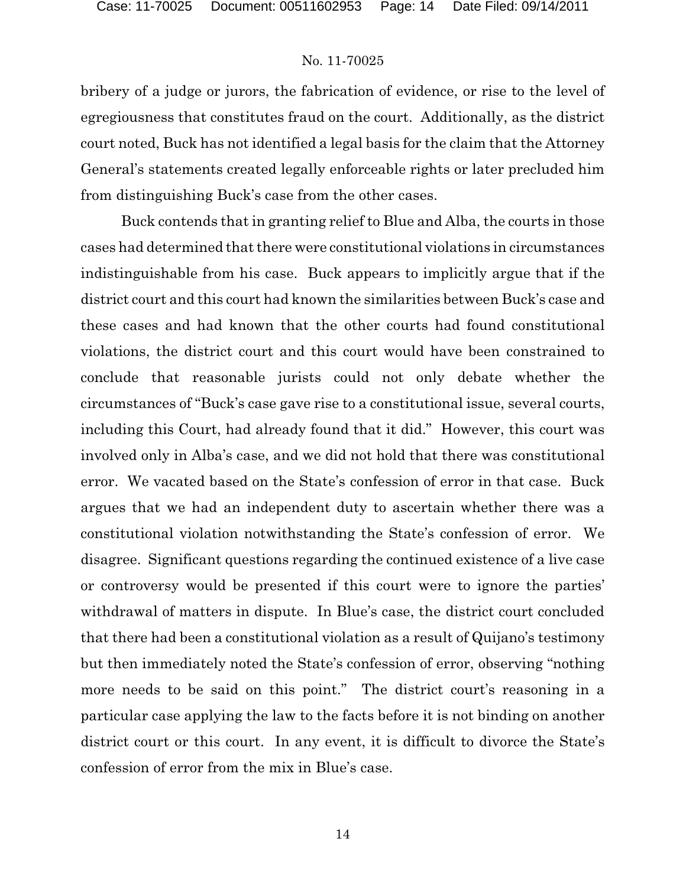bribery of a judge or jurors, the fabrication of evidence, or rise to the level of egregiousness that constitutes fraud on the court. Additionally, as the district court noted, Buck has not identified a legal basis for the claim that the Attorney General's statements created legally enforceable rights or later precluded him from distinguishing Buck's case from the other cases.

Buck contends that in granting relief to Blue and Alba, the courts in those cases had determined that there were constitutional violations in circumstances indistinguishable from his case. Buck appears to implicitly argue that if the district court and this court had known the similarities between Buck's case and these cases and had known that the other courts had found constitutional violations, the district court and this court would have been constrained to conclude that reasonable jurists could not only debate whether the circumstances of "Buck's case gave rise to a constitutional issue, several courts, including this Court, had already found that it did." However, this court was involved only in Alba's case, and we did not hold that there was constitutional error. We vacated based on the State's confession of error in that case. Buck argues that we had an independent duty to ascertain whether there was a constitutional violation notwithstanding the State's confession of error. We disagree. Significant questions regarding the continued existence of a live case or controversy would be presented if this court were to ignore the parties' withdrawal of matters in dispute. In Blue's case, the district court concluded that there had been a constitutional violation as a result of Quijano's testimony but then immediately noted the State's confession of error, observing "nothing more needs to be said on this point." The district court's reasoning in a particular case applying the law to the facts before it is not binding on another district court or this court. In any event, it is difficult to divorce the State's confession of error from the mix in Blue's case.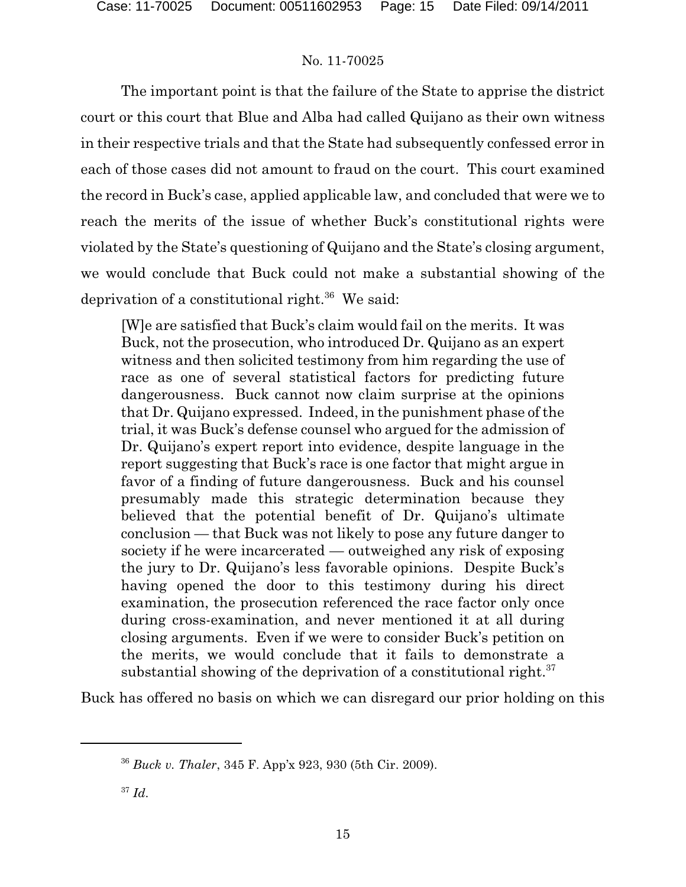The important point is that the failure of the State to apprise the district court or this court that Blue and Alba had called Quijano as their own witness in their respective trials and that the State had subsequently confessed error in each of those cases did not amount to fraud on the court. This court examined the record in Buck's case, applied applicable law, and concluded that were we to reach the merits of the issue of whether Buck's constitutional rights were violated by the State's questioning of Quijano and the State's closing argument, we would conclude that Buck could not make a substantial showing of the deprivation of a constitutional right. $36$  We said:

[W]e are satisfied that Buck's claim would fail on the merits. It was Buck, not the prosecution, who introduced Dr. Quijano as an expert witness and then solicited testimony from him regarding the use of race as one of several statistical factors for predicting future dangerousness. Buck cannot now claim surprise at the opinions that Dr. Quijano expressed. Indeed, in the punishment phase of the trial, it was Buck's defense counsel who argued for the admission of Dr. Quijano's expert report into evidence, despite language in the report suggesting that Buck's race is one factor that might argue in favor of a finding of future dangerousness. Buck and his counsel presumably made this strategic determination because they believed that the potential benefit of Dr. Quijano's ultimate conclusion — that Buck was not likely to pose any future danger to society if he were incarcerated — outweighed any risk of exposing the jury to Dr. Quijano's less favorable opinions. Despite Buck's having opened the door to this testimony during his direct examination, the prosecution referenced the race factor only once during cross-examination, and never mentioned it at all during closing arguments. Even if we were to consider Buck's petition on the merits, we would conclude that it fails to demonstrate a substantial showing of the deprivation of a constitutional right.<sup>37</sup>

Buck has offered no basis on which we can disregard our prior holding on this

*Buck v. Thaler*, 345 F. App'x 923, 930 (5th Cir. 2009). 36

*Id*. 37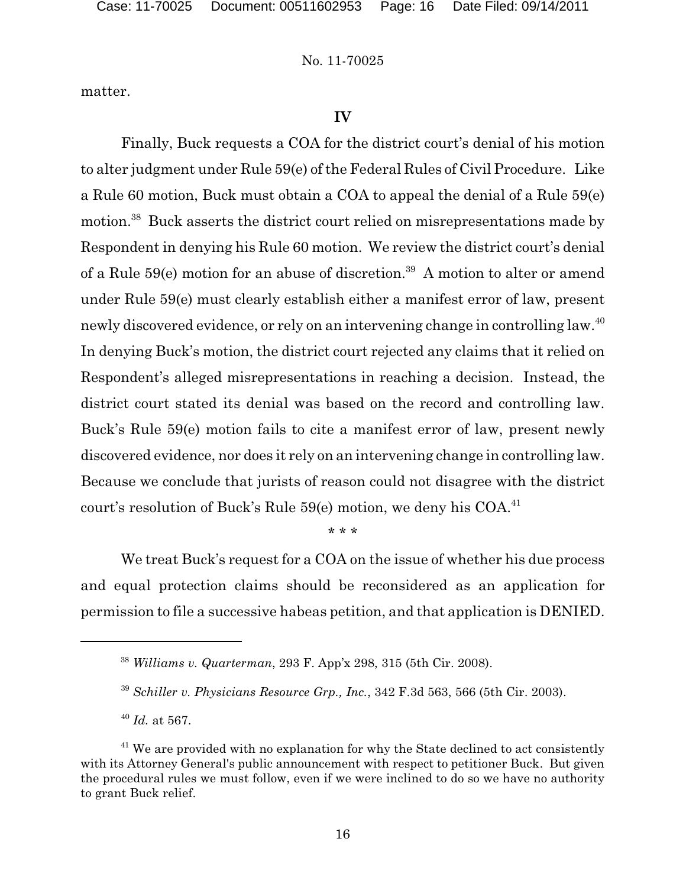matter.

### **IV**

Finally, Buck requests a COA for the district court's denial of his motion to alter judgment under Rule 59(e) of the Federal Rules of Civil Procedure. Like a Rule 60 motion, Buck must obtain a COA to appeal the denial of a Rule 59(e) motion.<sup>38</sup> Buck asserts the district court relied on misrepresentations made by Respondent in denying his Rule 60 motion. We review the district court's denial of a Rule  $59(e)$  motion for an abuse of discretion.<sup>39</sup> A motion to alter or amend under Rule 59(e) must clearly establish either a manifest error of law, present newly discovered evidence, or rely on an intervening change in controlling law.<sup>40</sup> In denying Buck's motion, the district court rejected any claims that it relied on Respondent's alleged misrepresentations in reaching a decision. Instead, the district court stated its denial was based on the record and controlling law. Buck's Rule 59(e) motion fails to cite a manifest error of law, present newly discovered evidence, nor does it rely on an intervening change in controlling law. Because we conclude that jurists of reason could not disagree with the district court's resolution of Buck's Rule 59(e) motion, we deny his COA.<sup>41</sup>

#### \* \* \*

We treat Buck's request for a COA on the issue of whether his due process and equal protection claims should be reconsidered as an application for permission to file a successive habeas petition, and that application is DENIED.

<sup>40</sup> *Id.* at 567.

*Williams v. Quarterman*, 293 F. App'x 298, 315 (5th Cir. 2008). 38

*Schiller v. Physicians Resource Grp., Inc.*, 342 F.3d 563, 566 (5th Cir. 2003). 39

 $41$  We are provided with no explanation for why the State declined to act consistently with its Attorney General's public announcement with respect to petitioner Buck. But given the procedural rules we must follow, even if we were inclined to do so we have no authority to grant Buck relief.